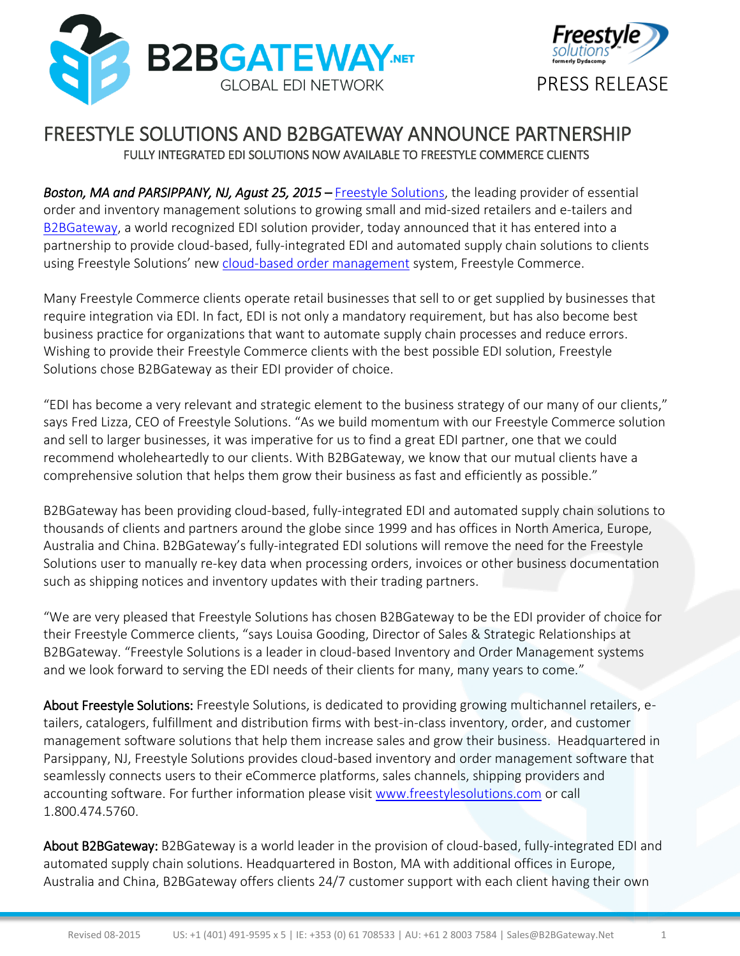



## FREESTYLE SOLUTIONS AND B2BGATEWAY ANNOUNCE PARTNERSHIP FULLY INTEGRATED EDI SOLUTIONS NOW AVAILABLE TO FREESTYLE COMMERCE CLIENTS

*Boston, MA and PARSIPPANY, NJ, Agust 25, 2015* – [Freestyle Solutions,](http://www.freestylesolutions.com/?utm_source=press%20release&utm_medium=vocus&utm_campaign=b2b%20gateway%20) the leading provider of essential order and inventory [management](http://www.freestylesolutions.com/features/) solutions to growing small and mid-sized retailers and e-tailers and [B2BGateway,](https://www.b2bgateway.net/index.asp) a world recognized EDI solution provider, today announced that it has entered into a partnership to provide cloud-based, fully-integrated EDI and automated supply chain solutions to clients using Freestyle Solutions' new [cloud-based order management](http://www.freestylesolutions.com/features/?utm_source=press%20release&utm_medium=vocus&utm_campaign=b2b%20gateway%20cloud%20page) system, Freestyle Commerce.

Many Freestyle Commerce clients operate retail businesses that sell to or get supplied by businesses that require integration via EDI. In fact, EDI is not only a mandatory requirement, but has also become best business practice for organizations that want to automate supply chain processes and reduce errors. Wishing to provide their Freestyle Commerce clients with the best possible EDI solution, Freestyle Solutions chose B2BGateway as their EDI provider of choice.

"EDI has become a very relevant and strategic element to the business strategy of our many of our clients," says Fred Lizza, CEO of Freestyle Solutions. "As we build momentum with our Freestyle Commerce solution and sell to larger businesses, it was imperative for us to find a great EDI partner, one that we could recommend wholeheartedly to our clients. With B2BGateway, we know that our mutual clients have a comprehensive solution that helps them grow their business as fast and efficiently as possible."

B2BGateway has been providing cloud-based, fully-integrated EDI and automated supply chain solutions to thousands of clients and partners around the globe since 1999 and has offices in North America, Europe, Australia and China. B2BGateway's fully-integrated EDI solutions will remove the need for the Freestyle Solutions user to manually re-key data when processing orders, invoices or other business documentation such as shipping notices and inventory updates with their trading partners.

"We are very pleased that Freestyle Solutions has chosen B2BGateway to be the EDI provider of choice for their Freestyle Commerce clients, "says Louisa Gooding, Director of Sales & Strategic Relationships at B2BGateway. "Freestyle Solutions is a leader in cloud-based Inventory and Order Management systems and we look forward to serving the EDI needs of their clients for many, many years to come."

About Freestyle Solutions: Freestyle Solutions, is dedicated to providing growing multichannel retailers, etailers, catalogers, fulfillment and distribution firms with best-in-class inventory, order, and customer management software solutions that help them increase sales and grow their business. Headquartered in Parsippany, NJ, Freestyle Solutions provides cloud-based inventory and order management software that seamlessly connects users to their eCommerce platforms, sales channels, shipping providers and accounting software. For further information please visit [www.freestylesolutions.com](http://www.freestylesolutions.com/) or call 1.800.474.5760.

About B2BGateway: B2BGateway is a world leader in the provision of cloud-based, fully-integrated EDI and automated supply chain solutions. Headquartered in Boston, MA with additional offices in Europe, Australia and China, B2BGateway offers clients 24/7 customer support with each client having their own